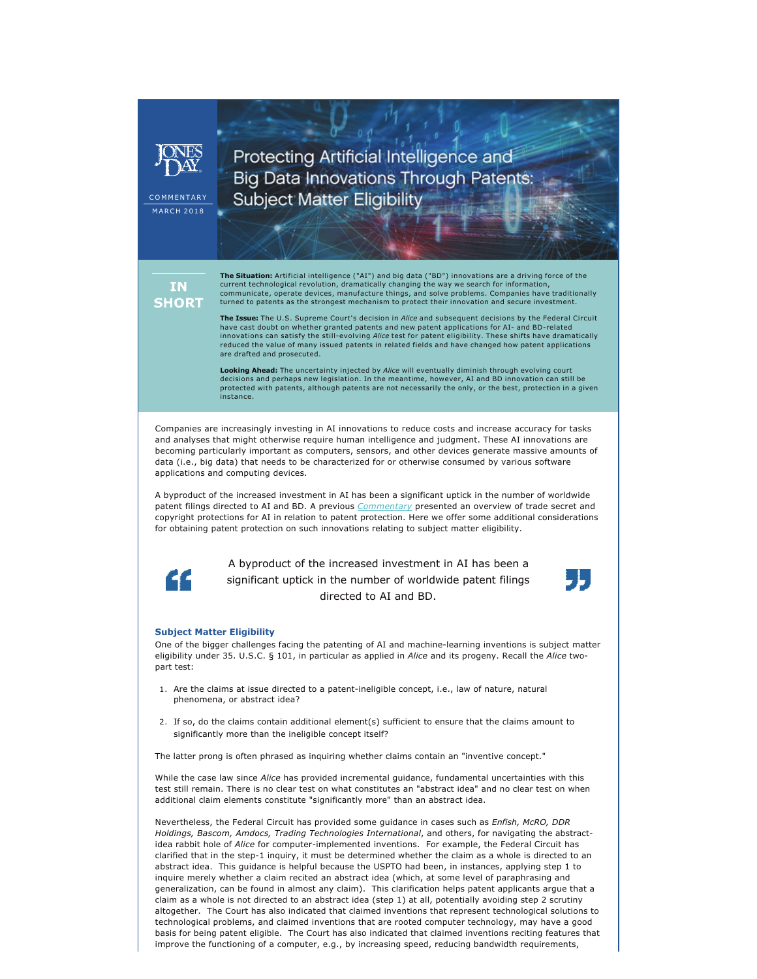

**MARCH 2018** 

Protecting Artificial Intelligence and **Big Data Innovations Through Patents: Subject Matter Eligibility** 

**IN SHORT**  **The Situation:** Artificial intelligence ("AI") and big data ("BD") innovations are a driving force of the current technological revolution, dramatically changing the way we search for information, communicate, operate devices, manufacture things, and solve problems. Companies have traditionally turned to patents as the strongest mechanism to protect their innovation and secure investment.

**The Issue:** The U.S. Supreme Court's decision in *Alice* and subsequent decisions by the Federal Circuit have cast doubt on whether granted patents and new patent applications for AI- and BD-related<br>innovations can satisfy the still-evolving *Alice* test for patent eligibility. These shifts have dramatically reduced the value of many issued patents in related fields and have changed how patent applications are drafted and prosecuted.

**Looking Ahead:** The uncertainty injected by *Alice* will eventually diminish through evolving court decisions and perhaps new legislation. In the meantime, however, AI and BD innovation can still be protected with patents, although patents are not necessarily the only, or the best, protection in a given instance.

Companies are increasingly investing in AI innovations to reduce costs and increase accuracy for tasks and analyses that might otherwise require human intelligence and judgment. These AI innovations are becoming particularly important as computers, sensors, and other devices generate massive amounts of data (i.e., big data) that needs to be characterized for or otherwise consumed by various software applications and computing devices.

A byproduct of the increased investment in AI has been a significant uptick in the number of worldwide patent filings directed to AI and BD. A previous *[Commentary](http://www.jonesday.com/protecting-artificial-intelligence-ip-patents-trade-secrets-or-copyrights-01-09-2018/)* presented an overview of trade secret and copyright protections for AI in relation to patent protection. Here we offer some additional considerations for obtaining patent protection on such innovations relating to subject matter eligibility.



A byproduct of the increased investment in AI has been a significant uptick in the number of worldwide patent filings directed to AI and BD.

## **Subject Matter Eligibility**

One of the bigger challenges facing the patenting of AI and machinelearning inventions is subject matter eligibility under 35. U.S.C. § 101, in particular as applied in *Alice* and its progeny. Recall the *Alice* twopart test:

- 1. Are the claims at issue directed to a patent-ineligible concept, i.e., law of nature, natural phenomena, or abstract idea?
- 2. If so, do the claims contain additional element(s) sufficient to ensure that the claims amount to significantly more than the ineligible concept itself?

The latter prong is often phrased as inquiring whether claims contain an "inventive concept."

While the case law since *Alice* has provided incremental guidance, fundamental uncertainties with this test still remain. There is no clear test on what constitutes an "abstract idea" and no clear test on when additional claim elements constitute "significantly more" than an abstract idea.

Nevertheless, the Federal Circuit has provided some guidance in cases such as *Enfish, McRO, DDR Holdings, Bascom, Amdocs, Trading Technologies International*, and others, for navigating the abstractidea rabbit hole of *Alice* for computer-implemented inventions. For example, the Federal Circuit has clarified that in the step-1 inquiry, it must be determined whether the claim as a whole is directed to an abstract idea. This guidance is helpful because the USPTO had been, in instances, applying step 1 to inquire merely whether a claim recited an abstract idea (which, at some level of paraphrasing and generalization, can be found in almost any claim). This clarification helps patent applicants argue that a claim as a whole is not directed to an abstract idea (step 1) at all, potentially avoiding step 2 scrutiny altogether. The Court has also indicated that claimed inventions that represent technological solutions to technological problems, and claimed inventions that are rooted computer technology, may have a good basis for being patent eligible. The Court has also indicated that claimed inventions reciting features that improve the functioning of a computer, e.g., by increasing speed, reducing bandwidth requirements,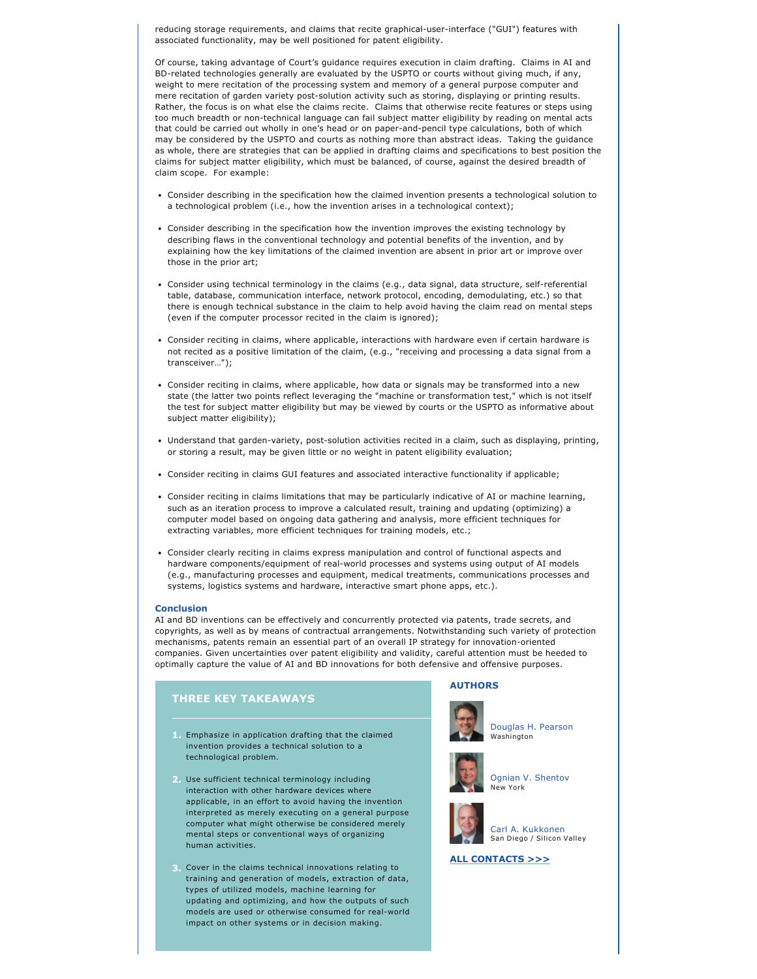reducing storage requirements, and claims that recite graphical-user-interface ("GUI") features with associated functionality, may be well positioned for patent eligibility.

Of course, taking advantage of Court's guidance requires execution in claim drafting. Claims in AI and BD-related technologies generally are evaluated by the USPTO or courts without giving much, if any, weight to mere recitation of the processing system and memory of a general purpose computer and mere recitation of garden variety post-solution activity such as storing, displaying or printing results. Rather, the focus is on what else the claims recite. Claims that otherwise recite features or steps using too much breadth or non-technical language can fail subject matter eligibility by reading on mental acts that could be carried out wholly in one's head or on paper-and-pencil type calculations, both of which may be considered by the USPTO and courts as nothing more than abstract ideas. Taking the guidance as whole, there are strategies that can be applied in drafting claims and specifications to best position the claims for subject matter eligibility, which must be balanced, of course, against the desired breadth of claim scope. For example:

- Consider describing in the specification how the claimed invention presents a technological solution to a technological problem (i.e., how the invention arises in a technological context);
- Consider describing in the specification how the invention improves the existing technology by describing flaws in the conventional technology and potential benefits of the invention, and by explaining how the key limitations of the claimed invention are absent in prior art or improve over those in the prior art;
- Consider using technical terminology in the claims (e.g., data signal, data structure, self-referential table, database, communication interface, network protocol, encoding, demodulating, etc.) so that there is enough technical substance in the claim to help avoid having the claim read on mental steps (even if the computer processor recited in the claim is ignored);
- Consider reciting in claims, where applicable, interactions with hardware even if certain hardware is not recited as a positive limitation of the claim, (e.g., "receiving and processing a data signal from a transceiver…");
- Consider reciting in claims, where applicable, how data or signals may be transformed into a new state (the latter two points reflect leveraging the "machine or transformation test," which is not itself the test for subject matter eligibility but may be viewed by courts or the USPTO as informative about subject matter eligibility);
- Understand that garden-variety, post-solution activities recited in a claim, such as displaying, printing, or storing a result, may be given little or no weight in patent eligibility evaluation;
- Consider reciting in claims GUI features and associated interactive functionality if applicable;
- Consider reciting in claims limitations that may be particularly indicative of AI or machine learning, such as an iteration process to improve a calculated result, training and updating (optimizing) a computer model based on ongoing data gathering and analysis, more efficient techniques for extracting variables, more efficient techniques for training models, etc.;
- Consider clearly reciting in claims express manipulation and control of functional aspects and hardware components/equipment of real-world processes and systems using output of AI models (e.g., manufacturing processes and equipment, medical treatments, communications processes and systems, logistics systems and hardware, interactive smart phone apps, etc.).

### **Conclusion**

AI and BD inventions can be effectively and concurrently protected via patents, trade secrets, and copyrights, as well as by means of contractual arrangements. Notwithstanding such variety of protection mechanisms, patents remain an essential part of an overall IP strategy for innovation-oriented companies. Given uncertainties over patent eligibility and validity, careful attention must be heeded to optimally capture the value of AI and BD innovations for both defensive and offensive purposes.

# **THREE KEY TAKEAWAYS**

- **1.** Emphasize in application drafting that the claimed invention provides a technical solution to a technological problem.
- **2.** Use sufficient technical terminology including interaction with other hardware devices where applicable, in an effort to avoid having the invention interpreted as merely executing on a general purpose computer what might otherwise be considered merely mental steps or conventional ways of organizing human activities.
- **3.** Cover in the claims technical innovations relating to training and generation of models, extraction of data, types of utilized models, machine learning for updating and optimizing, and how the outputs of such models are used or otherwise consumed for real-world impact on other systems or in decision making.

## **AUTHORS**



[Douglas H. Pearson](http://www.jonesday.com/dhpearson/) Washington



[Ognian V. Shentov](http://www.jonesday.com/ovshentov/) New York



[Carl A. Kukkonen](http://www.jonesday.com/ckukkonen/) San Diego / Silicon Valley

## **[ALL CONTACTS >>>](https://jonesday-ecommunications.com/234/2198/downloads/subject-matter-eligibility-contacts.pdf)**